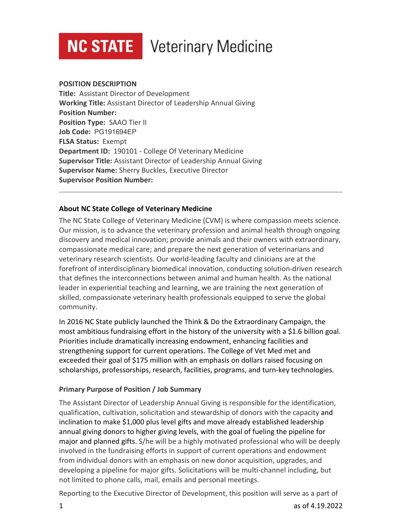# **NC STATE** Veterinary Medicine

#### **POSITION DESCRIPTION**

**Title:** Assistant Director of Development **Working Title:** Assistant Director of Leadership Annual Giving **Position Number: Position Type:** SAAO Tier II **Job Code:** PG191694EP **FLSA Status:** Exempt **Department ID:** 190101 - College Of Veterinary Medicine **Supervisor Title:** Assistant Director of Leadership Annual Giving **Supervisor Name:** Sherry Buckles, Executive Director **Supervisor Position Number:**

## **About NC State College of Veterinary Medicine**

The NC State College of Veterinary Medicine (CVM) is where compassion meets science. Our mission, is to advance the veterinary profession and animal health through ongoing discovery and medical innovation; provide animals and their owners with extraordinary, compassionate medical care; and prepare the next generation of veterinarians and veterinary research scientists. Our world-leading faculty and clinicians are at the forefront of interdisciplinary biomedical innovation, conducting solution-driven research that defines the interconnections between animal and human health. As the national leader in experiential teaching and learning, we are training the next generation of skilled, compassionate veterinary health professionals equipped to serve the global community.

In 2016 NC State publicly launched the Think & Do the Extraordinary Campaign, the most ambitious fundraising effort in the history of the university with a \$1.6 billion goal. Priorities include dramatically increasing endowment, enhancing facilities and strengthening support for current operations. The College of Vet Med met and exceeded their goal of \$175 million with an emphasis on dollars raised focusing on scholarships, professorships, research, facilities, programs, and turn-key technologies.

## **Primary Purpose of Position / Job Summary**

The Assistant Director of Leadership Annual Giving is responsible for the identification, qualification, cultivation, solicitation and stewardship of donors with the capacity and inclination to make \$1,000 plus level gifts and move already established leadership annual giving donors to higher giving levels, with the goal of fueling the pipeline for major and planned gifts. S/he will be a highly motivated professional who will be deeply involved in the fundraising efforts in support of current operations and endowment from individual donors with an emphasis on new donor acquisition, upgrades, and developing a pipeline for major gifts. Solicitations will be multi-channel including, but not limited to phone calls, mail, emails and personal meetings.

Reporting to the Executive Director of Development, this position will serve as a part of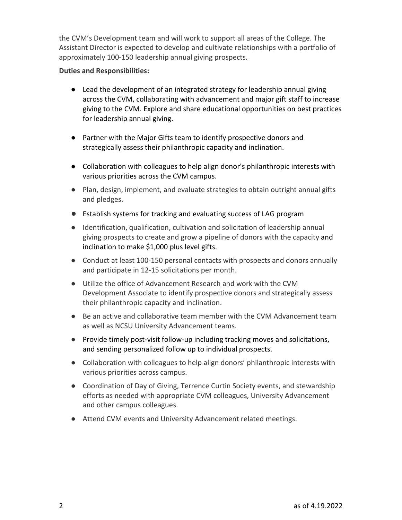the CVM's Development team and will work to support all areas of the College. The Assistant Director is expected to develop and cultivate relationships with a portfolio of approximately 100-150 leadership annual giving prospects.

#### **Duties and Responsibilities:**

- Lead the development of an integrated strategy for leadership annual giving across the CVM, collaborating with advancement and major gift staff to increase giving to the CVM. Explore and share educational opportunities on best practices for leadership annual giving.
- Partner with the Major Gifts team to identify prospective donors and strategically assess their philanthropic capacity and inclination.
- Collaboration with colleagues to help align donor's philanthropic interests with various priorities across the CVM campus.
- Plan, design, implement, and evaluate strategies to obtain outright annual gifts and pledges.
- Establish systems for tracking and evaluating success of LAG program
- Identification, qualification, cultivation and solicitation of leadership annual giving prospects to create and grow a pipeline of donors with the capacity and inclination to make \$1,000 plus level gifts.
- Conduct at least 100-150 personal contacts with prospects and donors annually and participate in 12-15 solicitations per month.
- Utilize the office of Advancement Research and work with the CVM Development Associate to identify prospective donors and strategically assess their philanthropic capacity and inclination.
- Be an active and collaborative team member with the CVM Advancement team as well as NCSU University Advancement teams.
- Provide timely post-visit follow-up including tracking moves and solicitations, and sending personalized follow up to individual prospects.
- Collaboration with colleagues to help align donors' philanthropic interests with various priorities across campus.
- Coordination of Day of Giving, Terrence Curtin Society events, and stewardship efforts as needed with appropriate CVM colleagues, University Advancement and other campus colleagues.
- Attend CVM events and University Advancement related meetings.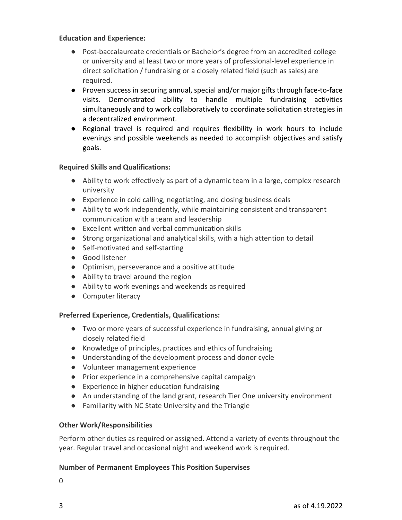#### **Education and Experience:**

- Post-baccalaureate credentials or Bachelor's degree from an accredited college or university and at least two or more years of professional-level experience in direct solicitation / fundraising or a closely related field (such as sales) are required.
- Proven success in securing annual, special and/or major gifts through face-to-face visits. Demonstrated ability to handle multiple fundraising activities simultaneously and to work collaboratively to coordinate solicitation strategies in a decentralized environment.
- Regional travel is required and requires flexibility in work hours to include evenings and possible weekends as needed to accomplish objectives and satisfy goals.

#### **Required Skills and Qualifications:**

- Ability to work effectively as part of a dynamic team in a large, complex research university
- Experience in cold calling, negotiating, and closing business deals
- Ability to work independently, while maintaining consistent and transparent communication with a team and leadership
- Excellent written and verbal communication skills
- Strong organizational and analytical skills, with a high attention to detail
- Self-motivated and self-starting
- Good listener
- Optimism, perseverance and a positive attitude
- Ability to travel around the region
- Ability to work evenings and weekends as required
- Computer literacy

## **Preferred Experience, Credentials, Qualifications:**

- Two or more years of successful experience in fundraising, annual giving or closely related field
- Knowledge of principles, practices and ethics of fundraising
- Understanding of the development process and donor cycle
- Volunteer management experience
- Prior experience in a comprehensive capital campaign
- Experience in higher education fundraising
- An understanding of the land grant, research Tier One university environment
- Familiarity with NC State University and the Triangle

## **Other Work/Responsibilities**

Perform other duties as required or assigned. Attend a variety of events throughout the year. Regular travel and occasional night and weekend work is required.

## **Number of Permanent Employees This Position Supervises**

0